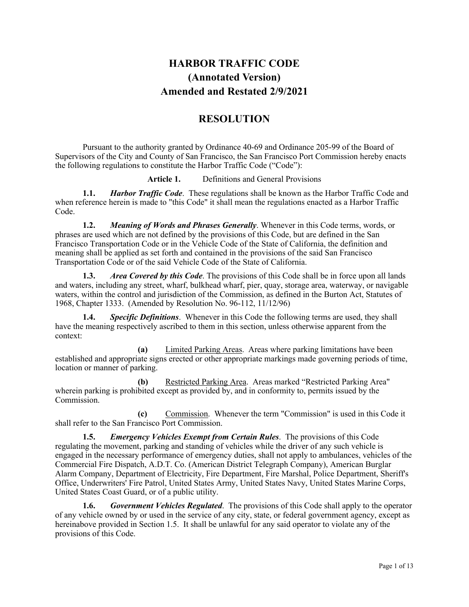# **HARBOR TRAFFIC CODE (Annotated Version) Amended and Restated 2/9/2021**

# **RESOLUTION**

Pursuant to the authority granted by Ordinance 40-69 and Ordinance 205-99 of the Board of Supervisors of the City and County of San Francisco, the San Francisco Port Commission hereby enacts the following regulations to constitute the Harbor Traffic Code ("Code"):

**Article 1.** Definitions and General Provisions

**1.1.** *Harbor Traffic Code*. These regulations shall be known as the Harbor Traffic Code and when reference herein is made to "this Code" it shall mean the regulations enacted as a Harbor Traffic Code.

**1.2.** *Meaning of Words and Phrases Generally*. Whenever in this Code terms, words, or phrases are used which are not defined by the provisions of this Code, but are defined in the San Francisco Transportation Code or in the Vehicle Code of the State of California, the definition and meaning shall be applied as set forth and contained in the provisions of the said San Francisco Transportation Code or of the said Vehicle Code of the State of California.

**1.3.** *Area Covered by this Code*. The provisions of this Code shall be in force upon all lands and waters, including any street, wharf, bulkhead wharf, pier, quay, storage area, waterway, or navigable waters, within the control and jurisdiction of the Commission, as defined in the Burton Act, Statutes of 1968, Chapter 1333. (Amended by Resolution No. 96-112, 11/12/96)

**1.4.** *Specific Definitions*. Whenever in this Code the following terms are used, they shall have the meaning respectively ascribed to them in this section, unless otherwise apparent from the context:

**(a)** Limited Parking Areas. Areas where parking limitations have been established and appropriate signs erected or other appropriate markings made governing periods of time, location or manner of parking.

**(b)** Restricted Parking Area. Areas marked "Restricted Parking Area" wherein parking is prohibited except as provided by, and in conformity to, permits issued by the Commission.

**(c)** Commission. Whenever the term "Commission" is used in this Code it shall refer to the San Francisco Port Commission.

**1.5.** *Emergency Vehicles Exempt from Certain Rules*. The provisions of this Code regulating the movement, parking and standing of vehicles while the driver of any such vehicle is engaged in the necessary performance of emergency duties, shall not apply to ambulances, vehicles of the Commercial Fire Dispatch, A.D.T. Co. (American District Telegraph Company), American Burglar Alarm Company, Department of Electricity, Fire Department, Fire Marshal, Police Department, Sheriff's Office, Underwriters' Fire Patrol, United States Army, United States Navy, United States Marine Corps, United States Coast Guard, or of a public utility.

**1.6.** *Government Vehicles Regulated*. The provisions of this Code shall apply to the operator of any vehicle owned by or used in the service of any city, state, or federal government agency, except as hereinabove provided in Section 1.5. It shall be unlawful for any said operator to violate any of the provisions of this Code.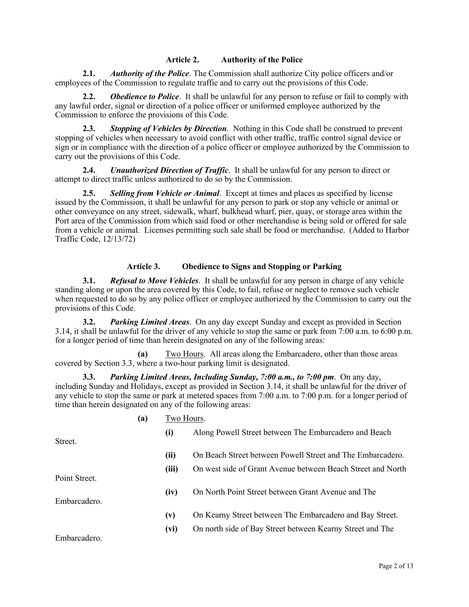## **Article 2. Authority of the Police**

**2.1.** *Authority of the Police*. The Commission shall authorize City police officers and/or employees of the Commission to regulate traffic and to carry out the provisions of this Code.

**2.2.** *Obedience to Police*. It shall be unlawful for any person to refuse or fail to comply with any lawful order, signal or direction of a police officer or uniformed employee authorized by the Commission to enforce the provisions of this Code.

**2.3.** *Stopping of Vehicles by Direction*. Nothing in this Code shall be construed to prevent stopping of vehicles when necessary to avoid conflict with other traffic, traffic control signal device or sign or in compliance with the direction of a police officer or employee authorized by the Commission to carry out the provisions of this Code.

**2.4.** *Unauthorized Direction of Traffic*. It shall be unlawful for any person to direct or attempt to direct traffic unless authorized to do so by the Commission.

**2.5.** *Selling from Vehicle or Animal*. Except at times and places as specified by license issued by the Commission, it shall be unlawful for any person to park or stop any vehicle or animal or other conveyance on any street, sidewalk, wharf, bulkhead wharf, pier, quay, or storage area within the Port area of the Commission from which said food or other merchandise is being sold or offered for sale from a vehicle or animal. Licenses permitting such sale shall be food or merchandise. (Added to Harbor Traffic Code, 12/13/72)

## **Article 3. Obedience to Signs and Stopping or Parking**

**3.1.** *Refusal to Move Vehicles*. It shall be unlawful for any person in charge of any vehicle standing along or upon the area covered by this Code, to fail, refuse or neglect to remove such vehicle when requested to do so by any police officer or employee authorized by the Commission to carry out the provisions of this Code.

**3.2.** *Parking Limited Areas*. On any day except Sunday and except as provided in Section 3.14, it shall be unlawful for the driver of any vehicle to stop the same or park from 7:00 a.m. to 6:00 p.m. for a longer period of time than herein designated on any of the following areas:

**(a)** Two Hours. All areas along the Embarcadero, other than those areas covered by Section 3.3, where a two-hour parking limit is designated.

**3.3.** *Parking Limited Areas, Including Sunday, 7:00 a.m., to 7:00 pm*. On any day, including Sunday and Holidays, except as provided in Section 3.14, it shall be unlawful for the driver of any vehicle to stop the same or park at metered spaces from 7:00 a.m. to 7:00 p.m. for a longer period of time than herein designated on any of the following areas:

|               | (a) | Two Hours. |                                                             |
|---------------|-----|------------|-------------------------------------------------------------|
| Street.       |     | (i)        | Along Powell Street between The Embarcadero and Beach       |
|               |     | (ii)       | On Beach Street between Powell Street and The Embarcadero.  |
| Point Street. |     | (iii)      | On west side of Grant Avenue between Beach Street and North |
|               |     | (iv)       | On North Point Street between Grant Avenue and The          |
| Embarcadero.  |     |            |                                                             |
|               |     | (v)        | On Kearny Street between The Embarcadero and Bay Street.    |
|               |     | (vi)       | On north side of Bay Street between Kearny Street and The   |
| Embarcadero.  |     |            |                                                             |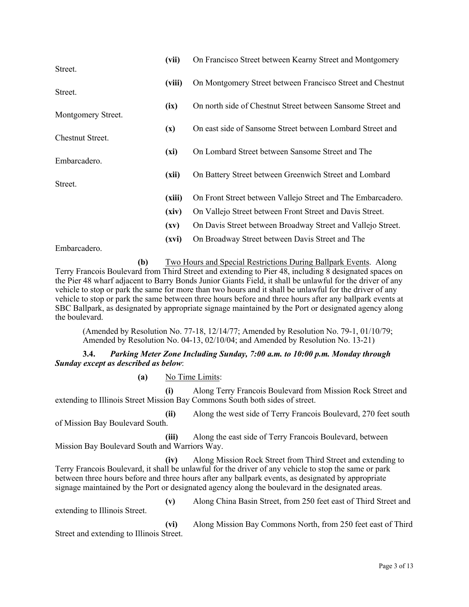|                                        | (vii)                    | On Francisco Street between Kearny Street and Montgomery    |
|----------------------------------------|--------------------------|-------------------------------------------------------------|
| Street.                                |                          |                                                             |
| Street.                                | (viii)                   | On Montgomery Street between Francisco Street and Chestnut  |
|                                        |                          | On north side of Chestnut Street between Sansome Street and |
| Montgomery Street.                     | (ix)                     |                                                             |
|                                        | $(\mathbf{x})$           | On east side of Sansome Street between Lombard Street and   |
| Chestnut Street.                       |                          |                                                             |
|                                        | (xi)                     | On Lombard Street between Sansome Street and The            |
| Embarcadero.                           |                          |                                                             |
|                                        | (xii)                    | On Battery Street between Greenwich Street and Lombard      |
| Street.                                |                          |                                                             |
|                                        | (xiii)                   | On Front Street between Vallejo Street and The Embarcadero. |
|                                        | (xiv)                    | On Vallejo Street between Front Street and Davis Street.    |
|                                        | $(\mathbf{x}\mathbf{v})$ | On Davis Street between Broadway Street and Vallejo Street. |
|                                        | (xvi)                    | On Broadway Street between Davis Street and The             |
| $Em$ <sub>homoo</sub> d <sub>omo</sub> |                          |                                                             |

Embarcadero.

**(b)** Two Hours and Special Restrictions During Ballpark Events. Along Terry Francois Boulevard from Third Street and extending to Pier 48, including 8 designated spaces on the Pier 48 wharf adjacent to Barry Bonds Junior Giants Field, it shall be unlawful for the driver of any vehicle to stop or park the same for more than two hours and it shall be unlawful for the driver of any vehicle to stop or park the same between three hours before and three hours after any ballpark events at SBC Ballpark, as designated by appropriate signage maintained by the Port or designated agency along the boulevard.

(Amended by Resolution No. 77-18, 12/14/77; Amended by Resolution No. 79-1, 01/10/79; Amended by Resolution No. 04-13, 02/10/04; and Amended by Resolution No. 13-21)

**3.4.** *Parking Meter Zone Including Sunday, 7:00 a.m. to 10:00 p.m. Monday through Sunday except as described as below*:

**(a)** No Time Limits:

**(i)** Along Terry Francois Boulevard from Mission Rock Street and extending to Illinois Street Mission Bay Commons South both sides of street.

**(ii)** Along the west side of Terry Francois Boulevard, 270 feet south of Mission Bay Boulevard South.

**(iii)** Along the east side of Terry Francois Boulevard, between Mission Bay Boulevard South and Warriors Way.

**(iv)** Along Mission Rock Street from Third Street and extending to Terry Francois Boulevard, it shall be unlawful for the driver of any vehicle to stop the same or park between three hours before and three hours after any ballpark events, as designated by appropriate signage maintained by the Port or designated agency along the boulevard in the designated areas.

**(v)** Along China Basin Street, from 250 feet east of Third Street and extending to Illinois Street.

**(vi)** Along Mission Bay Commons North, from 250 feet east of Third Street and extending to Illinois Street.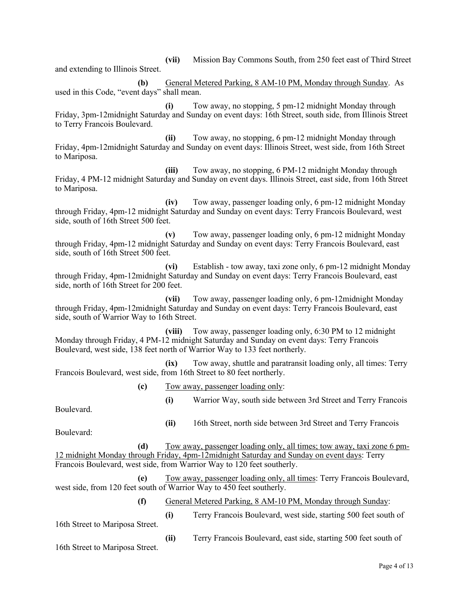**(vii)** Mission Bay Commons South, from 250 feet east of Third Street and extending to Illinois Street.

**(b)** General Metered Parking, 8 AM-10 PM, Monday through Sunday. As used in this Code, "event days" shall mean.

**(i)** Tow away, no stopping, 5 pm-12 midnight Monday through Friday, 3pm-12midnight Saturday and Sunday on event days: 16th Street, south side, from Illinois Street to Terry Francois Boulevard.

**(ii)** Tow away, no stopping, 6 pm-12 midnight Monday through Friday, 4pm-12midnight Saturday and Sunday on event days: Illinois Street, west side, from 16th Street to Mariposa.

**(iii)** Tow away, no stopping, 6 PM-12 midnight Monday through Friday, 4 PM-12 midnight Saturday and Sunday on event days. Illinois Street, east side, from 16th Street to Mariposa.

**(iv)** Tow away, passenger loading only, 6 pm-12 midnight Monday through Friday, 4pm-12 midnight Saturday and Sunday on event days: Terry Francois Boulevard, west side, south of 16th Street 500 feet.

**(v)** Tow away, passenger loading only, 6 pm-12 midnight Monday through Friday, 4pm-12 midnight Saturday and Sunday on event days: Terry Francois Boulevard, east side, south of 16th Street 500 feet.

**(vi)** Establish - tow away, taxi zone only, 6 pm-12 midnight Monday through Friday, 4pm-12midnight Saturday and Sunday on event days: Terry Francois Boulevard, east side, north of 16th Street for 200 feet.

**(vii)** Tow away, passenger loading only, 6 pm-12midnight Monday through Friday, 4pm-12midnight Saturday and Sunday on event days: Terry Francois Boulevard, east side, south of Warrior Way to 16th Street.

**(viii)** Tow away, passenger loading only, 6:30 PM to 12 midnight Monday through Friday, 4 PM-12 midnight Saturday and Sunday on event days: Terry Francois Boulevard, west side, 138 feet north of Warrior Way to 133 feet northerly.

**(ix)** Tow away, shuttle and paratransit loading only, all times: Terry Francois Boulevard, west side, from 16th Street to 80 feet northerly.

**(c)** Tow away, passenger loading only:

**(i)** Warrior Way, south side between 3rd Street and Terry Francois

Boulevard.

**(ii)** 16th Street, north side between 3rd Street and Terry Francois

Boulevard:

**(d)** Tow away, passenger loading only, all times; tow away, taxi zone 6 pm-12 midnight Monday through Friday, 4pm-12midnight Saturday and Sunday on event days: Terry Francois Boulevard, west side, from Warrior Way to 120 feet southerly.

**(e)** Tow away, passenger loading only, all times: Terry Francois Boulevard, west side, from 120 feet south of Warrior Way to 450 feet southerly.

**(f)** General Metered Parking, 8 AM-10 PM, Monday through Sunday:

16th Street to Mariposa Street.

**(ii)** Terry Francois Boulevard, east side, starting 500 feet south of

**(i)** Terry Francois Boulevard, west side, starting 500 feet south of

16th Street to Mariposa Street.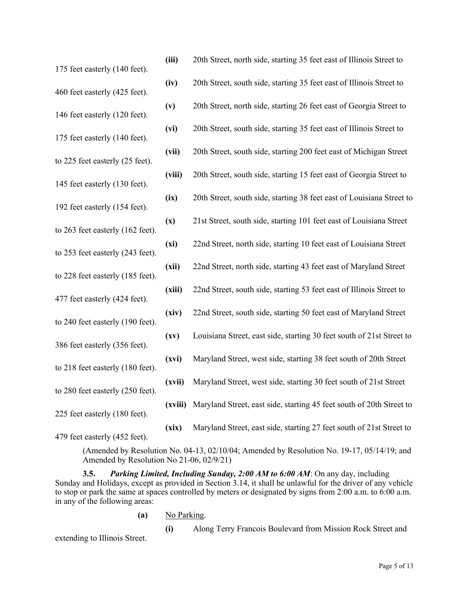| 175 feet easterly (140 feet).    | (iii)              | 20th Street, north side, starting 35 feet east of Illinois Street to  |
|----------------------------------|--------------------|-----------------------------------------------------------------------|
| 460 feet easterly (425 feet).    | (iv)               | 20th Street, south side, starting 35 feet east of Illinois Street to  |
| 146 feet easterly (120 feet).    | (v)                | 20th Street, north side, starting 26 feet east of Georgia Street to   |
|                                  | (vi)               | 20th Street, south side, starting 35 feet east of Illinois Street to  |
| 175 feet easterly (140 feet).    | (vii)              | 20th Street, south side, starting 200 feet east of Michigan Street    |
| to 225 feet easterly (25 feet).  | (viii)             | 20th Street, south side, starting 15 feet east of Georgia Street to   |
| 145 feet easterly (130 feet).    | (ix)               | 20th Street, south side, starting 38 feet east of Louisiana Street to |
| 192 feet easterly (154 feet).    | (x)                | 21st Street, south side, starting 101 feet east of Louisiana Street   |
| to 263 feet easterly (162 feet). | (xi)               | 22nd Street, north side, starting 10 feet east of Louisiana Street    |
| to 253 feet easterly (243 feet). | (xii)              | 22nd Street, north side, starting 43 feet east of Maryland Street     |
| to 228 feet easterly (185 feet). |                    |                                                                       |
| 477 feet easterly (424 feet).    | (xiii)             | 22nd Street, south side, starting 53 feet east of Illinois Street to  |
| to 240 feet easterly (190 feet). | (xiv)              | 22nd Street, south side, starting 50 feet east of Maryland Street     |
| 386 feet easterly (356 feet).    | $\left( xy\right)$ | Louisiana Street, east side, starting 30 feet south of 21st Street to |
| to 218 feet easterly (180 feet). | (xvi)              | Maryland Street, west side, starting 38 feet south of 20th Street     |
| to 280 feet easterly (250 feet). | (xvii)             | Maryland Street, west side, starting 30 feet south of 21st Street     |
| 225 feet easterly (180 feet).    | (xviii)            | Maryland Street, east side, starting 45 feet south of 20th Street to  |
| 479 feet easterly (452 feet).    | (xix)              | Maryland Street, east side, starting 27 feet south of 21st Street to  |

(Amended by Resolution No. 04-13, 02/10/04; Amended by Resolution No. 19-17, 05/14/19; and Amended by Resolution No 21-06, 02/9/21)

**3.5.** *Parking Limited, Including Sunday, 2:00 AM to 6:00 AM*: On any day, including Sunday and Holidays, except as provided in Section 3.14, it shall be unlawful for the driver of any vehicle to stop or park the same at spaces controlled by meters or designated by signs from 2:00 a.m. to 6:00 a.m. in any of the following areas:

**(a)** No Parking.

extending to Illinois Street.

**(i)** Along Terry Francois Boulevard from Mission Rock Street and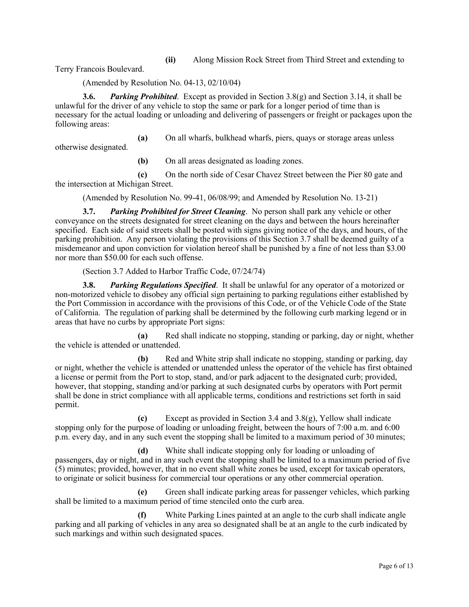**(ii)** Along Mission Rock Street from Third Street and extending to

Terry Francois Boulevard.

(Amended by Resolution No. 04-13, 02/10/04)

**3.6.** *Parking Prohibited*. Except as provided in Section 3.8(g) and Section 3.14, it shall be unlawful for the driver of any vehicle to stop the same or park for a longer period of time than is necessary for the actual loading or unloading and delivering of passengers or freight or packages upon the following areas:

**(a)** On all wharfs, bulkhead wharfs, piers, quays or storage areas unless

otherwise designated.

**(b)** On all areas designated as loading zones.

**(c)** On the north side of Cesar Chavez Street between the Pier 80 gate and the intersection at Michigan Street.

(Amended by Resolution No. 99-41, 06/08/99; and Amended by Resolution No. 13-21)

**3.7.** *Parking Prohibited for Street Cleaning*. No person shall park any vehicle or other conveyance on the streets designated for street cleaning on the days and between the hours hereinafter specified. Each side of said streets shall be posted with signs giving notice of the days, and hours, of the parking prohibition. Any person violating the provisions of this Section 3.7 shall be deemed guilty of a misdemeanor and upon conviction for violation hereof shall be punished by a fine of not less than \$3.00 nor more than \$50.00 for each such offense.

(Section 3.7 Added to Harbor Traffic Code, 07/24/74)

**3.8.** *Parking Regulations Specified*. It shall be unlawful for any operator of a motorized or non-motorized vehicle to disobey any official sign pertaining to parking regulations either established by the Port Commission in accordance with the provisions of this Code, or of the Vehicle Code of the State of California. The regulation of parking shall be determined by the following curb marking legend or in areas that have no curbs by appropriate Port signs:

**(a)** Red shall indicate no stopping, standing or parking, day or night, whether the vehicle is attended or unattended.

**(b)** Red and White strip shall indicate no stopping, standing or parking, day or night, whether the vehicle is attended or unattended unless the operator of the vehicle has first obtained a license or permit from the Port to stop, stand, and/or park adjacent to the designated curb; provided, however, that stopping, standing and/or parking at such designated curbs by operators with Port permit shall be done in strict compliance with all applicable terms, conditions and restrictions set forth in said permit.

**(c)** Except as provided in Section 3.4 and 3.8(g), Yellow shall indicate stopping only for the purpose of loading or unloading freight, between the hours of 7:00 a.m. and 6:00 p.m. every day, and in any such event the stopping shall be limited to a maximum period of 30 minutes;

**(d)** White shall indicate stopping only for loading or unloading of passengers, day or night, and in any such event the stopping shall be limited to a maximum period of five (5) minutes; provided, however, that in no event shall white zones be used, except for taxicab operators, to originate or solicit business for commercial tour operations or any other commercial operation.

**(e)** Green shall indicate parking areas for passenger vehicles, which parking shall be limited to a maximum period of time stenciled onto the curb area.

**(f)** White Parking Lines painted at an angle to the curb shall indicate angle parking and all parking of vehicles in any area so designated shall be at an angle to the curb indicated by such markings and within such designated spaces.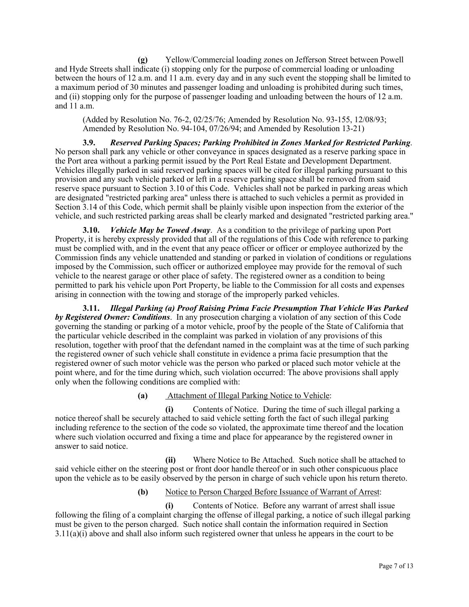**(g)** Yellow/Commercial loading zones on Jefferson Street between Powell and Hyde Streets shall indicate (i) stopping only for the purpose of commercial loading or unloading between the hours of 12 a.m. and 11 a.m. every day and in any such event the stopping shall be limited to a maximum period of 30 minutes and passenger loading and unloading is prohibited during such times, and (ii) stopping only for the purpose of passenger loading and unloading between the hours of 12 a.m. and 11 a.m.

(Added by Resolution No. 76-2, 02/25/76; Amended by Resolution No. 93-155, 12/08/93; Amended by Resolution No. 94-104, 07/26/94; and Amended by Resolution 13-21)

**3.9.** *Reserved Parking Spaces; Parking Prohibited in Zones Marked for Restricted Parking*. No person shall park any vehicle or other conveyance in spaces designated as a reserve parking space in the Port area without a parking permit issued by the Port Real Estate and Development Department. Vehicles illegally parked in said reserved parking spaces will be cited for illegal parking pursuant to this provision and any such vehicle parked or left in a reserve parking space shall be removed from said reserve space pursuant to Section 3.10 of this Code. Vehicles shall not be parked in parking areas which are designated "restricted parking area" unless there is attached to such vehicles a permit as provided in Section 3.14 of this Code, which permit shall be plainly visible upon inspection from the exterior of the vehicle, and such restricted parking areas shall be clearly marked and designated "restricted parking area."

**3.10.** *Vehicle May be Towed Away*. As a condition to the privilege of parking upon Port Property, it is hereby expressly provided that all of the regulations of this Code with reference to parking must be complied with, and in the event that any peace officer or officer or employee authorized by the Commission finds any vehicle unattended and standing or parked in violation of conditions or regulations imposed by the Commission, such officer or authorized employee may provide for the removal of such vehicle to the nearest garage or other place of safety. The registered owner as a condition to being permitted to park his vehicle upon Port Property, be liable to the Commission for all costs and expenses arising in connection with the towing and storage of the improperly parked vehicles.

**3.11.** *Illegal Parking (a) Proof Raising Prima Facie Presumption That Vehicle Was Parked by Registered Owner: Conditions*. In any prosecution charging a violation of any section of this Code governing the standing or parking of a motor vehicle, proof by the people of the State of California that the particular vehicle described in the complaint was parked in violation of any provisions of this resolution, together with proof that the defendant named in the complaint was at the time of such parking the registered owner of such vehicle shall constitute in evidence a prima facie presumption that the registered owner of such motor vehicle was the person who parked or placed such motor vehicle at the point where, and for the time during which, such violation occurred: The above provisions shall apply only when the following conditions are complied with:

# **(a)** Attachment of Illegal Parking Notice to Vehicle:

**(i)** Contents of Notice. During the time of such illegal parking a notice thereof shall be securely attached to said vehicle setting forth the fact of such illegal parking including reference to the section of the code so violated, the approximate time thereof and the location where such violation occurred and fixing a time and place for appearance by the registered owner in answer to said notice.

**(ii)** Where Notice to Be Attached. Such notice shall be attached to said vehicle either on the steering post or front door handle thereof or in such other conspicuous place upon the vehicle as to be easily observed by the person in charge of such vehicle upon his return thereto.

# **(b)** Notice to Person Charged Before Issuance of Warrant of Arrest:

**(i)** Contents of Notice. Before any warrant of arrest shall issue following the filing of a complaint charging the offense of illegal parking, a notice of such illegal parking must be given to the person charged. Such notice shall contain the information required in Section 3.11(a)(i) above and shall also inform such registered owner that unless he appears in the court to be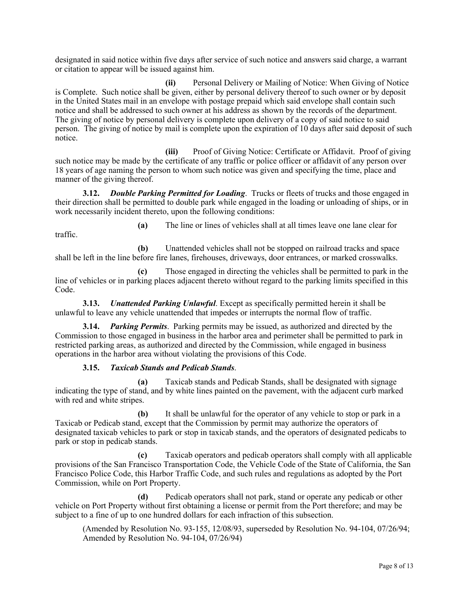designated in said notice within five days after service of such notice and answers said charge, a warrant or citation to appear will be issued against him.

**(ii)** Personal Delivery or Mailing of Notice: When Giving of Notice is Complete. Such notice shall be given, either by personal delivery thereof to such owner or by deposit in the United States mail in an envelope with postage prepaid which said envelope shall contain such notice and shall be addressed to such owner at his address as shown by the records of the department. The giving of notice by personal delivery is complete upon delivery of a copy of said notice to said person. The giving of notice by mail is complete upon the expiration of 10 days after said deposit of such notice.

**(iii)** Proof of Giving Notice: Certificate or Affidavit. Proof of giving such notice may be made by the certificate of any traffic or police officer or affidavit of any person over 18 years of age naming the person to whom such notice was given and specifying the time, place and manner of the giving thereof.

**3.12.** *Double Parking Permitted for Loading*. Trucks or fleets of trucks and those engaged in their direction shall be permitted to double park while engaged in the loading or unloading of ships, or in work necessarily incident thereto, upon the following conditions:

traffic.

**(a)** The line or lines of vehicles shall at all times leave one lane clear for

**(b)** Unattended vehicles shall not be stopped on railroad tracks and space shall be left in the line before fire lanes, firehouses, driveways, door entrances, or marked crosswalks.

**(c)** Those engaged in directing the vehicles shall be permitted to park in the line of vehicles or in parking places adjacent thereto without regard to the parking limits specified in this Code.

**3.13.** *Unattended Parking Unlawful*. Except as specifically permitted herein it shall be unlawful to leave any vehicle unattended that impedes or interrupts the normal flow of traffic.

**3.14.** *Parking Permits*. Parking permits may be issued, as authorized and directed by the Commission to those engaged in business in the harbor area and perimeter shall be permitted to park in restricted parking areas, as authorized and directed by the Commission, while engaged in business operations in the harbor area without violating the provisions of this Code.

# **3.15.** *Taxicab Stands and Pedicab Stands*.

**(a)** Taxicab stands and Pedicab Stands, shall be designated with signage indicating the type of stand, and by white lines painted on the pavement, with the adjacent curb marked with red and white stripes.

**(b)** It shall be unlawful for the operator of any vehicle to stop or park in a Taxicab or Pedicab stand, except that the Commission by permit may authorize the operators of designated taxicab vehicles to park or stop in taxicab stands, and the operators of designated pedicabs to park or stop in pedicab stands.

**(c)** Taxicab operators and pedicab operators shall comply with all applicable provisions of the San Francisco Transportation Code, the Vehicle Code of the State of California, the San Francisco Police Code, this Harbor Traffic Code, and such rules and regulations as adopted by the Port Commission, while on Port Property.

**(d)** Pedicab operators shall not park, stand or operate any pedicab or other vehicle on Port Property without first obtaining a license or permit from the Port therefore; and may be subject to a fine of up to one hundred dollars for each infraction of this subsection.

(Amended by Resolution No. 93-155, 12/08/93, superseded by Resolution No. 94-104, 07/26/94; Amended by Resolution No. 94-104, 07/26/94)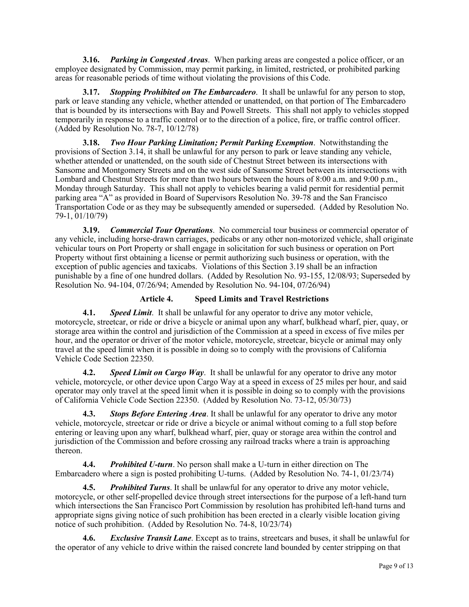**3.16.** *Parking in Congested Areas*. When parking areas are congested a police officer, or an employee designated by Commission, may permit parking, in limited, restricted, or prohibited parking areas for reasonable periods of time without violating the provisions of this Code.

**3.17.** *Stopping Prohibited on The Embarcadero*. It shall be unlawful for any person to stop, park or leave standing any vehicle, whether attended or unattended, on that portion of The Embarcadero that is bounded by its intersections with Bay and Powell Streets. This shall not apply to vehicles stopped temporarily in response to a traffic control or to the direction of a police, fire, or traffic control officer. (Added by Resolution No. 78-7, 10/12/78)

**3.18.** *Two Hour Parking Limitation; Permit Parking Exemption*. Notwithstanding the provisions of Section 3.14, it shall be unlawful for any person to park or leave standing any vehicle, whether attended or unattended, on the south side of Chestnut Street between its intersections with Sansome and Montgomery Streets and on the west side of Sansome Street between its intersections with Lombard and Chestnut Streets for more than two hours between the hours of 8:00 a.m. and 9:00 p.m., Monday through Saturday. This shall not apply to vehicles bearing a valid permit for residential permit parking area "A" as provided in Board of Supervisors Resolution No. 39-78 and the San Francisco Transportation Code or as they may be subsequently amended or superseded. (Added by Resolution No. 79-1, 01/10/79)

**3.19.** *Commercial Tour Operations*. No commercial tour business or commercial operator of any vehicle, including horse-drawn carriages, pedicabs or any other non-motorized vehicle, shall originate vehicular tours on Port Property or shall engage in solicitation for such business or operation on Port Property without first obtaining a license or permit authorizing such business or operation, with the exception of public agencies and taxicabs. Violations of this Section 3.19 shall be an infraction punishable by a fine of one hundred dollars. (Added by Resolution No. 93-155, 12/08/93; Superseded by Resolution No. 94-104, 07/26/94; Amended by Resolution No. 94-104, 07/26/94)

# **Article 4. Speed Limits and Travel Restrictions**

**4.1.** *Speed Limit*. It shall be unlawful for any operator to drive any motor vehicle, motorcycle, streetcar, or ride or drive a bicycle or animal upon any wharf, bulkhead wharf, pier, quay, or storage area within the control and jurisdiction of the Commission at a speed in excess of five miles per hour, and the operator or driver of the motor vehicle, motorcycle, streetcar, bicycle or animal may only travel at the speed limit when it is possible in doing so to comply with the provisions of California Vehicle Code Section 22350.

**4.2.** *Speed Limit on Cargo Way*. It shall be unlawful for any operator to drive any motor vehicle, motorcycle, or other device upon Cargo Way at a speed in excess of 25 miles per hour, and said operator may only travel at the speed limit when it is possible in doing so to comply with the provisions of California Vehicle Code Section 22350. (Added by Resolution No. 73-12, 05/30/73)

**4.3.** *Stops Before Entering Area*. It shall be unlawful for any operator to drive any motor vehicle, motorcycle, streetcar or ride or drive a bicycle or animal without coming to a full stop before entering or leaving upon any wharf, bulkhead wharf, pier, quay or storage area within the control and jurisdiction of the Commission and before crossing any railroad tracks where a train is approaching thereon.

**4.4.** *Prohibited U-turn*. No person shall make a U-turn in either direction on The Embarcadero where a sign is posted prohibiting U-turns. (Added by Resolution No. 74-1, 01/23/74)

**4.5.** *Prohibited Turns*. It shall be unlawful for any operator to drive any motor vehicle, motorcycle, or other self-propelled device through street intersections for the purpose of a left-hand turn which intersections the San Francisco Port Commission by resolution has prohibited left-hand turns and appropriate signs giving notice of such prohibition has been erected in a clearly visible location giving notice of such prohibition. (Added by Resolution No. 74-8, 10/23/74)

**4.6.** *Exclusive Transit Lane*. Except as to trains, streetcars and buses, it shall be unlawful for the operator of any vehicle to drive within the raised concrete land bounded by center stripping on that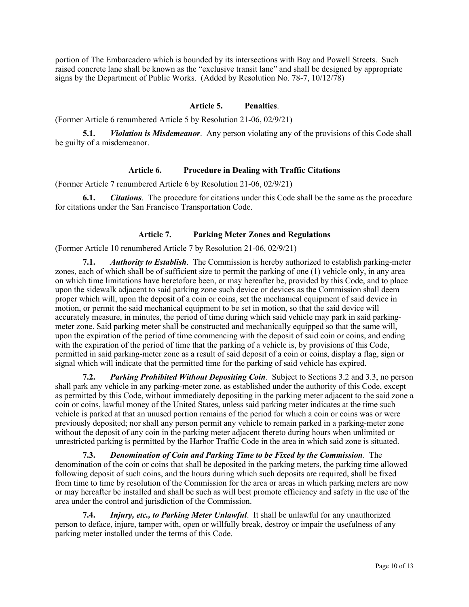portion of The Embarcadero which is bounded by its intersections with Bay and Powell Streets. Such raised concrete lane shall be known as the "exclusive transit lane" and shall be designed by appropriate signs by the Department of Public Works. (Added by Resolution No. 78-7, 10/12/78)

## **Article 5. Penalties**.

(Former Article 6 renumbered Article 5 by Resolution 21-06, 02/9/21)

**5.1.** *Violation is Misdemeanor*. Any person violating any of the provisions of this Code shall be guilty of a misdemeanor.

#### **Article 6. Procedure in Dealing with Traffic Citations**

(Former Article 7 renumbered Article 6 by Resolution 21-06, 02/9/21)

**6.1.** *Citations*. The procedure for citations under this Code shall be the same as the procedure for citations under the San Francisco Transportation Code.

# **Article 7. Parking Meter Zones and Regulations**

(Former Article 10 renumbered Article 7 by Resolution 21-06, 02/9/21)

**7.1.** *Authority to Establish*. The Commission is hereby authorized to establish parking-meter zones, each of which shall be of sufficient size to permit the parking of one (1) vehicle only, in any area on which time limitations have heretofore been, or may hereafter be, provided by this Code, and to place upon the sidewalk adjacent to said parking zone such device or devices as the Commission shall deem proper which will, upon the deposit of a coin or coins, set the mechanical equipment of said device in motion, or permit the said mechanical equipment to be set in motion, so that the said device will accurately measure, in minutes, the period of time during which said vehicle may park in said parkingmeter zone. Said parking meter shall be constructed and mechanically equipped so that the same will, upon the expiration of the period of time commencing with the deposit of said coin or coins, and ending with the expiration of the period of time that the parking of a vehicle is, by provisions of this Code, permitted in said parking-meter zone as a result of said deposit of a coin or coins, display a flag, sign or signal which will indicate that the permitted time for the parking of said vehicle has expired.

**7.2.** *Parking Prohibited Without Depositing Coin*. Subject to Sections 3.2 and 3.3, no person shall park any vehicle in any parking-meter zone, as established under the authority of this Code, except as permitted by this Code, without immediately depositing in the parking meter adjacent to the said zone a coin or coins, lawful money of the United States, unless said parking meter indicates at the time such vehicle is parked at that an unused portion remains of the period for which a coin or coins was or were previously deposited; nor shall any person permit any vehicle to remain parked in a parking-meter zone without the deposit of any coin in the parking meter adjacent thereto during hours when unlimited or unrestricted parking is permitted by the Harbor Traffic Code in the area in which said zone is situated.

**7.3.** *Denomination of Coin and Parking Time to be Fixed by the Commission*. The denomination of the coin or coins that shall be deposited in the parking meters, the parking time allowed following deposit of such coins, and the hours during which such deposits are required, shall be fixed from time to time by resolution of the Commission for the area or areas in which parking meters are now or may hereafter be installed and shall be such as will best promote efficiency and safety in the use of the area under the control and jurisdiction of the Commission.

**7.4.** *Injury, etc., to Parking Meter Unlawful*. It shall be unlawful for any unauthorized person to deface, injure, tamper with, open or willfully break, destroy or impair the usefulness of any parking meter installed under the terms of this Code.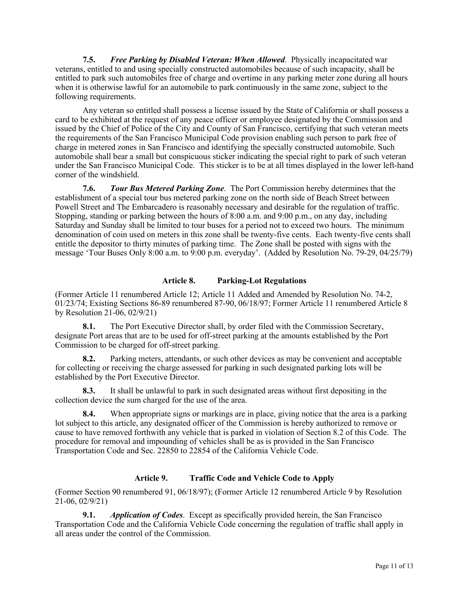**7.5.** *Free Parking by Disabled Veteran: When Allowed*. Physically incapacitated war veterans, entitled to and using specially constructed automobiles because of such incapacity, shall be entitled to park such automobiles free of charge and overtime in any parking meter zone during all hours when it is otherwise lawful for an automobile to park continuously in the same zone, subject to the following requirements.

Any veteran so entitled shall possess a license issued by the State of California or shall possess a card to be exhibited at the request of any peace officer or employee designated by the Commission and issued by the Chief of Police of the City and County of San Francisco, certifying that such veteran meets the requirements of the San Francisco Municipal Code provision enabling such person to park free of charge in metered zones in San Francisco and identifying the specially constructed automobile. Such automobile shall bear a small but conspicuous sticker indicating the special right to park of such veteran under the San Francisco Municipal Code. This sticker is to be at all times displayed in the lower left-hand corner of the windshield.

**7.6.** *Tour Bus Metered Parking Zone*. The Port Commission hereby determines that the establishment of a special tour bus metered parking zone on the north side of Beach Street between Powell Street and The Embarcadero is reasonably necessary and desirable for the regulation of traffic. Stopping, standing or parking between the hours of 8:00 a.m. and 9:00 p.m., on any day, including Saturday and Sunday shall be limited to tour buses for a period not to exceed two hours. The minimum denomination of coin used on meters in this zone shall be twenty-five cents. Each twenty-five cents shall entitle the depositor to thirty minutes of parking time. The Zone shall be posted with signs with the message 'Tour Buses Only 8:00 a.m. to 9:00 p.m. everyday'. (Added by Resolution No. 79-29, 04/25/79)

# **Article 8. Parking-Lot Regulations**

(Former Article 11 renumbered Article 12; Article 11 Added and Amended by Resolution No. 74-2, 01/23/74; Existing Sections 86-89 renumbered 87-90, 06/18/97; Former Article 11 renumbered Article 8 by Resolution 21-06, 02/9/21)

**8.1.** The Port Executive Director shall, by order filed with the Commission Secretary, designate Port areas that are to be used for off-street parking at the amounts established by the Port Commission to be charged for off-street parking.

**8.2.** Parking meters, attendants, or such other devices as may be convenient and acceptable for collecting or receiving the charge assessed for parking in such designated parking lots will be established by the Port Executive Director.

**8.3.** It shall be unlawful to park in such designated areas without first depositing in the collection device the sum charged for the use of the area.

**8.4.** When appropriate signs or markings are in place, giving notice that the area is a parking lot subject to this article, any designated officer of the Commission is hereby authorized to remove or cause to have removed forthwith any vehicle that is parked in violation of Section 8.2 of this Code. The procedure for removal and impounding of vehicles shall be as is provided in the San Francisco Transportation Code and Sec. 22850 to 22854 of the California Vehicle Code.

# **Article 9. Traffic Code and Vehicle Code to Apply**

(Former Section 90 renumbered 91, 06/18/97); (Former Article 12 renumbered Article 9 by Resolution 21-06, 02/9/21)

**9.1.** *Application of Codes*. Except as specifically provided herein, the San Francisco Transportation Code and the California Vehicle Code concerning the regulation of traffic shall apply in all areas under the control of the Commission.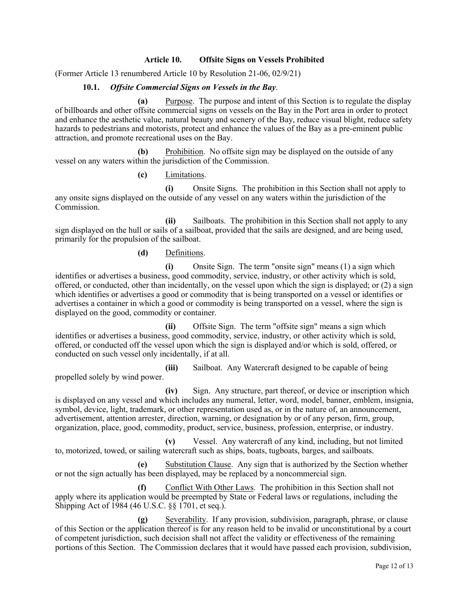## **Article 10. Offsite Signs on Vessels Prohibited**

(Former Article 13 renumbered Article 10 by Resolution 21-06, 02/9/21)

## **10.1.** *Offsite Commercial Signs on Vessels in the Bay*.

**(a)** Purpose. The purpose and intent of this Section is to regulate the display of billboards and other offsite commercial signs on vessels on the Bay in the Port area in order to protect and enhance the aesthetic value, natural beauty and scenery of the Bay, reduce visual blight, reduce safety hazards to pedestrians and motorists, protect and enhance the values of the Bay as a pre-eminent public attraction, and promote recreational uses on the Bay.

**(b)** Prohibition. No offsite sign may be displayed on the outside of any vessel on any waters within the jurisdiction of the Commission.

## **(c)** Limitations.

**(i)** Onsite Signs. The prohibition in this Section shall not apply to any onsite signs displayed on the outside of any vessel on any waters within the jurisdiction of the Commission.

**(ii)** Sailboats. The prohibition in this Section shall not apply to any sign displayed on the hull or sails of a sailboat, provided that the sails are designed, and are being used, primarily for the propulsion of the sailboat.

## **(d)** Definitions.

**(i)** Onsite Sign. The term "onsite sign" means (1) a sign which identifies or advertises a business, good commodity, service, industry, or other activity which is sold, offered, or conducted, other than incidentally, on the vessel upon which the sign is displayed; or (2) a sign which identifies or advertises a good or commodity that is being transported on a vessel or identifies or advertises a container in which a good or commodity is being transported on a vessel, where the sign is displayed on the good, commodity or container.

**(ii)** Offsite Sign. The term "offsite sign" means a sign which identifies or advertises a business, good commodity, service, industry, or other activity which is sold, offered, or conducted off the vessel upon which the sign is displayed and/or which is sold, offered, or conducted on such vessel only incidentally, if at all.

**(iii)** Sailboat. Any Watercraft designed to be capable of being propelled solely by wind power.

**(iv)** Sign. Any structure, part thereof, or device or inscription which is displayed on any vessel and which includes any numeral, letter, word, model, banner, emblem, insignia, symbol, device, light, trademark, or other representation used as, or in the nature of, an announcement, advertisement, attention arrester, direction, warning, or designation by or of any person, firm, group, organization, place, good, commodity, product, service, business, profession, enterprise, or industry.

**(v)** Vessel. Any watercraft of any kind, including, but not limited to, motorized, towed, or sailing watercraft such as ships, boats, tugboats, barges, and sailboats.

**(e)** Substitution Clause. Any sign that is authorized by the Section whether or not the sign actually has been displayed, may be replaced by a noncommercial sign.

**(f)** Conflict With Other Laws. The prohibition in this Section shall not apply where its application would be preempted by State or Federal laws or regulations, including the Shipping Act of 1984 (46 U.S.C. §§ 1701, et seq.).

**(g)** Severability. If any provision, subdivision, paragraph, phrase, or clause of this Section or the application thereof is for any reason held to be invalid or unconstitutional by a court of competent jurisdiction, such decision shall not affect the validity or effectiveness of the remaining portions of this Section. The Commission declares that it would have passed each provision, subdivision,